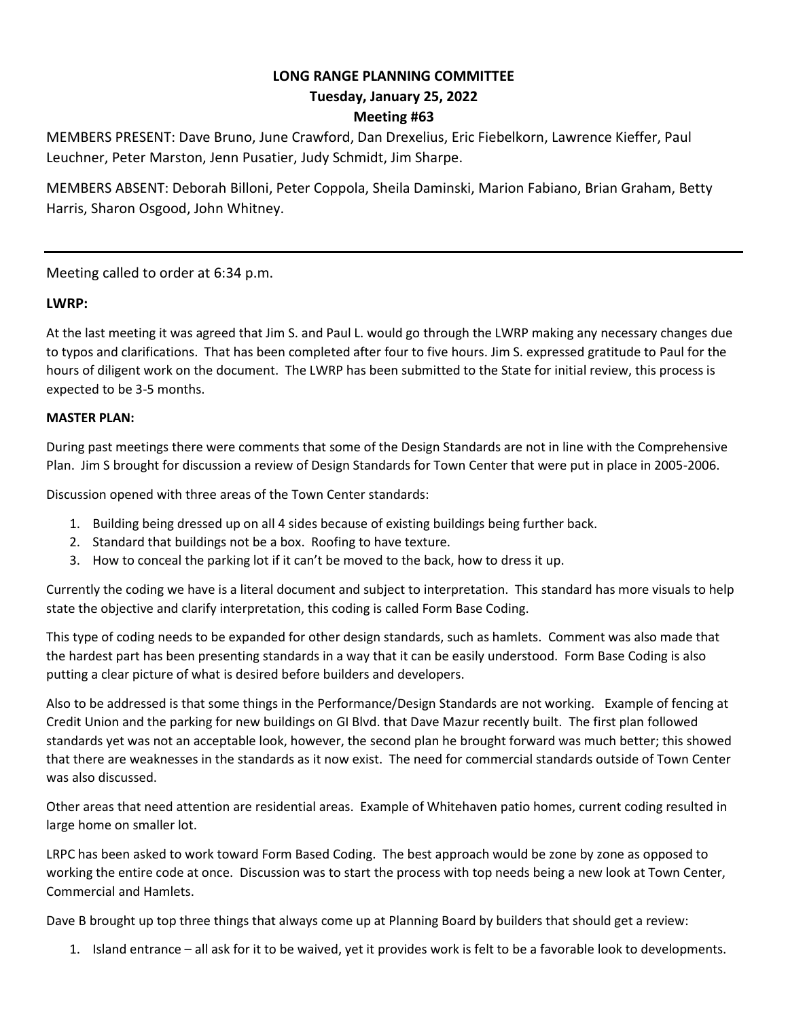# **LONG RANGE PLANNING COMMITTEE Tuesday, January 25, 2022 Meeting #63**

MEMBERS PRESENT: Dave Bruno, June Crawford, Dan Drexelius, Eric Fiebelkorn, Lawrence Kieffer, Paul Leuchner, Peter Marston, Jenn Pusatier, Judy Schmidt, Jim Sharpe.

MEMBERS ABSENT: Deborah Billoni, Peter Coppola, Sheila Daminski, Marion Fabiano, Brian Graham, Betty Harris, Sharon Osgood, John Whitney.

Meeting called to order at 6:34 p.m.

### **LWRP:**

At the last meeting it was agreed that Jim S. and Paul L. would go through the LWRP making any necessary changes due to typos and clarifications. That has been completed after four to five hours. Jim S. expressed gratitude to Paul for the hours of diligent work on the document. The LWRP has been submitted to the State for initial review, this process is expected to be 3-5 months.

### **MASTER PLAN:**

During past meetings there were comments that some of the Design Standards are not in line with the Comprehensive Plan. Jim S brought for discussion a review of Design Standards for Town Center that were put in place in 2005-2006.

Discussion opened with three areas of the Town Center standards:

- 1. Building being dressed up on all 4 sides because of existing buildings being further back.
- 2. Standard that buildings not be a box. Roofing to have texture.
- 3. How to conceal the parking lot if it can't be moved to the back, how to dress it up.

Currently the coding we have is a literal document and subject to interpretation. This standard has more visuals to help state the objective and clarify interpretation, this coding is called Form Base Coding.

This type of coding needs to be expanded for other design standards, such as hamlets. Comment was also made that the hardest part has been presenting standards in a way that it can be easily understood. Form Base Coding is also putting a clear picture of what is desired before builders and developers.

Also to be addressed is that some things in the Performance/Design Standards are not working. Example of fencing at Credit Union and the parking for new buildings on GI Blvd. that Dave Mazur recently built. The first plan followed standards yet was not an acceptable look, however, the second plan he brought forward was much better; this showed that there are weaknesses in the standards as it now exist. The need for commercial standards outside of Town Center was also discussed.

Other areas that need attention are residential areas. Example of Whitehaven patio homes, current coding resulted in large home on smaller lot.

LRPC has been asked to work toward Form Based Coding. The best approach would be zone by zone as opposed to working the entire code at once. Discussion was to start the process with top needs being a new look at Town Center, Commercial and Hamlets.

Dave B brought up top three things that always come up at Planning Board by builders that should get a review:

1. Island entrance – all ask for it to be waived, yet it provides work is felt to be a favorable look to developments.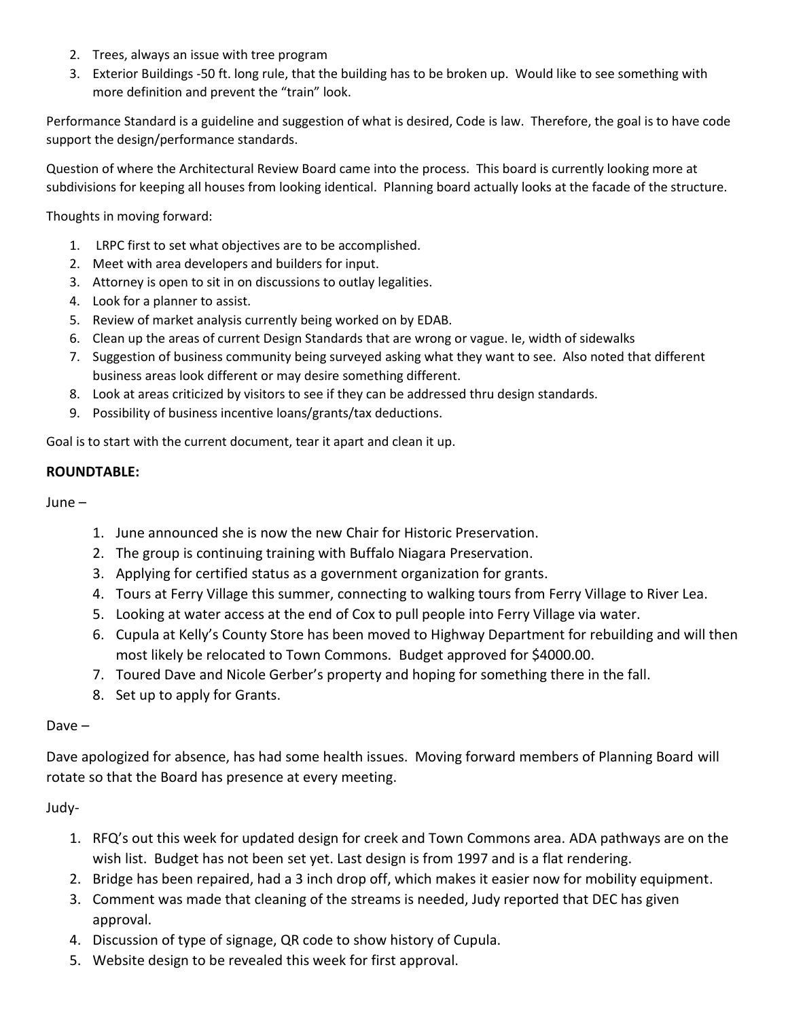- 2. Trees, always an issue with tree program
- 3. Exterior Buildings -50 ft. long rule, that the building has to be broken up. Would like to see something with more definition and prevent the "train" look.

Performance Standard is a guideline and suggestion of what is desired, Code is law. Therefore, the goal is to have code support the design/performance standards.

Question of where the Architectural Review Board came into the process. This board is currently looking more at subdivisions for keeping all houses from looking identical. Planning board actually looks at the facade of the structure.

Thoughts in moving forward:

- 1. LRPC first to set what objectives are to be accomplished.
- 2. Meet with area developers and builders for input.
- 3. Attorney is open to sit in on discussions to outlay legalities.
- 4. Look for a planner to assist.
- 5. Review of market analysis currently being worked on by EDAB.
- 6. Clean up the areas of current Design Standards that are wrong or vague. Ie, width of sidewalks
- 7. Suggestion of business community being surveyed asking what they want to see. Also noted that different business areas look different or may desire something different.
- 8. Look at areas criticized by visitors to see if they can be addressed thru design standards.
- 9. Possibility of business incentive loans/grants/tax deductions.

Goal is to start with the current document, tear it apart and clean it up.

#### **ROUNDTABLE:**

June –

- 1. June announced she is now the new Chair for Historic Preservation.
- 2. The group is continuing training with Buffalo Niagara Preservation.
- 3. Applying for certified status as a government organization for grants.
- 4. Tours at Ferry Village this summer, connecting to walking tours from Ferry Village to River Lea.
- 5. Looking at water access at the end of Cox to pull people into Ferry Village via water.
- 6. Cupula at Kelly's County Store has been moved to Highway Department for rebuilding and will then most likely be relocated to Town Commons. Budget approved for \$4000.00.
- 7. Toured Dave and Nicole Gerber's property and hoping for something there in the fall.
- 8. Set up to apply for Grants.

#### Dave –

Dave apologized for absence, has had some health issues. Moving forward members of Planning Board will rotate so that the Board has presence at every meeting.

Judy-

- 1. RFQ's out this week for updated design for creek and Town Commons area. ADA pathways are on the wish list. Budget has not been set yet. Last design is from 1997 and is a flat rendering.
- 2. Bridge has been repaired, had a 3 inch drop off, which makes it easier now for mobility equipment.
- 3. Comment was made that cleaning of the streams is needed, Judy reported that DEC has given approval.
- 4. Discussion of type of signage, QR code to show history of Cupula.
- 5. Website design to be revealed this week for first approval.